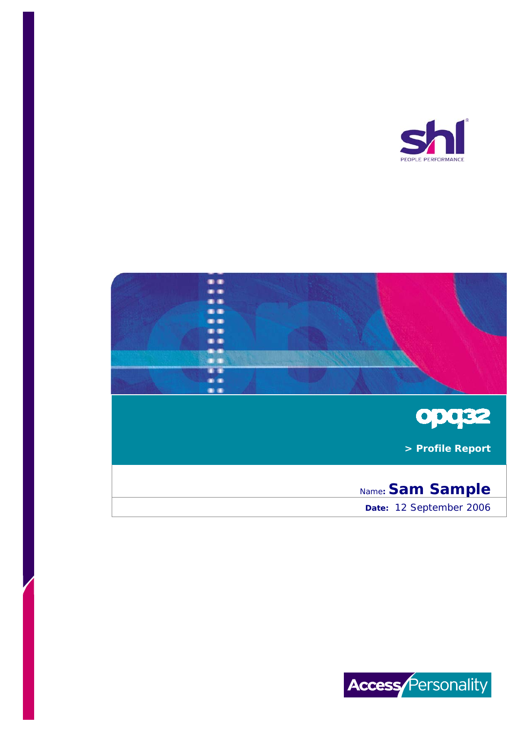



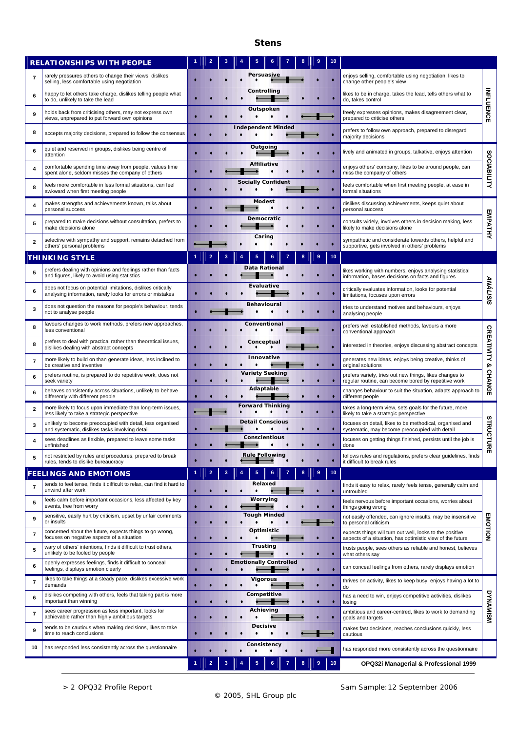## **Stens**

|                | <b>RELATIONSHIPS WITH PEOPLE</b>                                                                                           |   |   |   |           |                               |  |    | 10 |                                                                                                                       |                         |
|----------------|----------------------------------------------------------------------------------------------------------------------------|---|---|---|-----------|-------------------------------|--|----|----|-----------------------------------------------------------------------------------------------------------------------|-------------------------|
| $\overline{7}$ | rarely pressures others to change their views, dislikes<br>selling, less comfortable using negotiation                     |   |   |   |           | Persuasive                    |  |    |    | enjoys selling, comfortable using negotiation, likes to<br>change other people's view                                 |                         |
| 6              | happy to let others take charge, dislikes telling people what<br>to do, unlikely to take the lead                          |   |   |   |           | Controlling                   |  |    |    | likes to be in charge, takes the lead, tells others what to<br>do, takes control                                      |                         |
| 9              | holds back from criticising others, may not express own<br>views, unprepared to put forward own opinions                   |   |   |   |           | Outspoken                     |  |    |    | freely expresses opinions, makes disagreement clear,<br>prepared to criticise others                                  | <b>INFLUENCE</b>        |
| 8              | accepts majority decisions, prepared to follow the consensus                                                               |   |   |   |           | <b>Independent Minded</b>     |  |    |    | prefers to follow own approach, prepared to disregard<br>majority decisions                                           |                         |
| 6              | quiet and reserved in groups, dislikes being centre of<br>attention                                                        |   |   |   |           | Outgoing                      |  |    |    | lively and animated in groups, talkative, enjoys attention                                                            |                         |
| 4              | comfortable spending time away from people, values time<br>spent alone, seldom misses the company of others                |   |   |   |           | <b>Affiliative</b>            |  |    |    | enjoys others' company, likes to be around people, can<br>miss the company of others                                  | SOCIABILITY             |
| 8              | feels more comfortable in less formal situations, can feel<br>awkward when first meeting people                            |   |   |   |           | <b>Socially Confident</b>     |  |    |    | feels comfortable when first meeting people, at ease in<br>formal situations                                          |                         |
| 4              | makes strengths and achievements known, talks about<br>personal success                                                    |   |   |   |           | <b>Modest</b>                 |  |    |    | dislikes discussing achievements, keeps quiet about<br>personal success                                               |                         |
| 5              | prepared to make decisions without consultation, prefers to<br>make decisions alone                                        |   |   |   |           | Democratic                    |  |    |    | consults widely, involves others in decision making, less<br>likely to make decisions alone                           | EMPATHY                 |
| $\mathbf{2}$   | selective with sympathy and support, remains detached from<br>others' personal problems                                    |   |   |   |           | Caring                        |  |    |    | sympathetic and considerate towards others, helpful and<br>supportive, gets involved in others' problems              |                         |
|                | <b>THINKING STYLE</b>                                                                                                      |   |   | 3 | 4         | 5<br>6                        |  |    | 10 |                                                                                                                       |                         |
| 5              | prefers dealing with opinions and feelings rather than facts<br>and figures, likely to avoid using statistics              |   |   |   |           | <b>Data Rational</b>          |  |    |    | likes working with numbers, enjoys analysing statistical<br>information, bases decisions on facts and figures         |                         |
| 6              | does not focus on potential limitations, dislikes critically<br>analysing information, rarely looks for errors or mistakes |   |   |   |           | <b>Evaluative</b>             |  |    |    | critically evaluates information, looks for potential<br>limitations, focuses upon errors                             | <b>ANÁLISIS</b>         |
| 3              | does not question the reasons for people's behaviour, tends<br>not to analyse people                                       |   |   |   |           | <b>Behavioural</b>            |  |    |    | tries to understand motives and behaviours, enjoys<br>analysing people                                                |                         |
| 8              | favours changes to work methods, prefers new approaches,<br>less conventional                                              |   |   |   |           | Conventional                  |  |    |    | prefers well established methods, favours a more<br>conventional approach                                             |                         |
| 8              | prefers to deal with practical rather than theoretical issues,<br>dislikes dealing with abstract concepts                  |   |   |   |           | Conceptual                    |  |    |    | interested in theories, enjoys discussing abstract concepts                                                           | <b>CREATIVITY &amp;</b> |
| $\overline{7}$ | more likely to build on than generate ideas, less inclined to<br>be creative and inventive                                 |   |   |   |           | Innovative                    |  |    |    | generates new ideas, enjoys being creative, thinks of<br>original solutions                                           |                         |
| 6              | prefers routine, is prepared to do repetitive work, does not<br>seek variety                                               |   |   |   |           | <b>Variety Seeking</b>        |  |    |    | prefers variety, tries out new things, likes changes to<br>regular routine, can become bored by repetitive work       | <b>CHANGE</b>           |
| 6              | behaves consistently across situations, unlikely to behave<br>differently with different people                            |   |   |   |           | Adaptable                     |  |    |    | changes behaviour to suit the situation, adapts approach to<br>different people                                       |                         |
| $\overline{2}$ | more likely to focus upon immediate than long-term issues,<br>less likely to take a strategic perspective                  |   |   |   |           | <b>Forward Thinking</b>       |  |    |    | takes a long-term view, sets goals for the future, more<br>likely to take a strategic perspective                     |                         |
| 3              | unlikely to become preoccupied with detail, less organised<br>and systematic, dislikes tasks involving detail              |   |   |   |           | <b>Detail Conscious</b>       |  |    |    | focuses on detail, likes to be methodical, organised and<br>systematic, may become preoccupied with detail            | <b>STRUCTURE</b>        |
| 4              | sees deadlines as flexible, prepared to leave some tasks<br>unfinished                                                     |   |   |   |           | <b>Conscientious</b>          |  |    |    | focuses on getting things finished, persists until the job is<br>done                                                 |                         |
| 5              | not restricted by rules and procedures, prepared to break<br>rules, tends to dislike bureaucracy                           |   |   |   |           | <b>Rule Following</b>         |  |    |    | follows rules and regulations, prefers clear quidelines, finds<br>it difficult to break rules                         |                         |
|                | <b>FEELINGS AND EMOTIONS</b>                                                                                               | 1 | 2 | 3 | 4         | 5<br>6                        |  | ۰g | 10 |                                                                                                                       |                         |
| $\overline{7}$ | tends to feel tense, finds it difficult to relax, can find it hard to<br>unwind after work                                 |   |   |   |           | Relaxed                       |  |    |    | finds it easy to relax, rarely feels tense, generally calm and<br>untroubled                                          |                         |
| 5              | feels calm before important occasions, less affected by key<br>events, free from worry                                     |   |   |   |           | Worrying                      |  |    |    | feels nervous before important occasions, worries about<br>things going wrong                                         |                         |
| 9              | sensitive, easily hurt by criticism, upset by unfair comments<br>or insults                                                |   |   |   |           | <b>Tough Minded</b>           |  |    |    | not easily offended, can ignore insults, may be insensitive<br>to personal criticism                                  |                         |
| $\overline{7}$ | concerned about the future, expects things to go wrong,<br>focuses on negative aspects of a situation                      |   |   |   |           | Optimistic                    |  |    |    | expects things will turn out well, looks to the positive<br>aspects of a situation, has optimistic view of the future | EMOTION                 |
| 5              | wary of others' intentions, finds it difficult to trust others,<br>unlikely to be fooled by people                         |   |   |   |           | <b>Trusting</b>               |  |    |    | trusts people, sees others as reliable and honest, believes<br>what others say                                        |                         |
| 6              | openly expresses feelings, finds it difficult to conceal<br>feelings, displays emotion clearly                             |   |   |   |           | <b>Emotionally Controlled</b> |  |    |    | can conceal feelings from others, rarely displays emotion                                                             |                         |
| $\overline{7}$ | likes to take things at a steady pace, dislikes excessive work<br>demands                                                  |   |   |   | ٠         | <b>Vigorous</b>               |  |    | ٠  | thrives on activity, likes to keep busy, enjoys having a lot to<br>do                                                 |                         |
| 6              | dislikes competing with others, feels that taking part is more<br>important than winning                                   |   |   |   | $\bullet$ | Competitive                   |  |    | ۰  | has a need to win, enjoys competitive activities, dislikes<br>losing                                                  |                         |
| $\overline{7}$ | sees career progression as less important, looks for<br>achievable rather than highly ambitious targets                    |   |   |   | ٠         | Achieving                     |  |    |    | ambitious and career-centred, likes to work to demanding<br>goals and targets                                         | <b>DRAMAMISM</b>        |
| 9              | tends to be cautious when making decisions, likes to take<br>time to reach conclusions                                     |   |   |   |           | <b>Decisive</b>               |  |    |    | makes fast decisions, reaches conclusions quickly, less<br>cautious                                                   |                         |
| 10             | has responded less consistently across the questionnaire                                                                   |   |   |   |           | Consistency<br>$\bullet$      |  |    |    | has responded more consistently across the questionnaire                                                              |                         |
|                |                                                                                                                            |   |   |   |           |                               |  |    | 10 | OPQ32i Managerial & Professional 1999                                                                                 |                         |